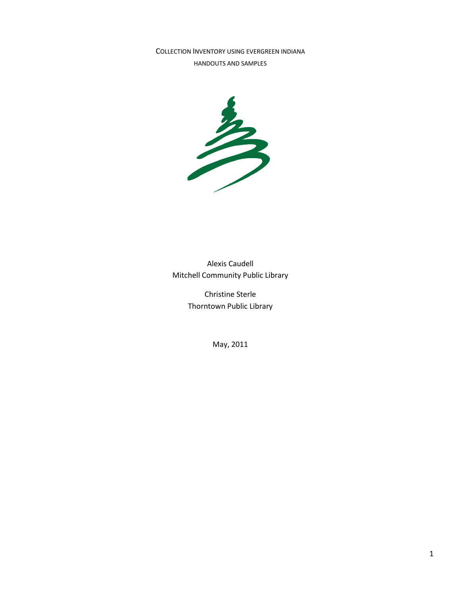COLLECTION INVENTORY USING EVERGREEN INDIANA HANDOUTS AND SAMPLES



Alexis Caudell Mitchell Community Public Library

> Christine Sterle Thorntown Public Library

> > May, 2011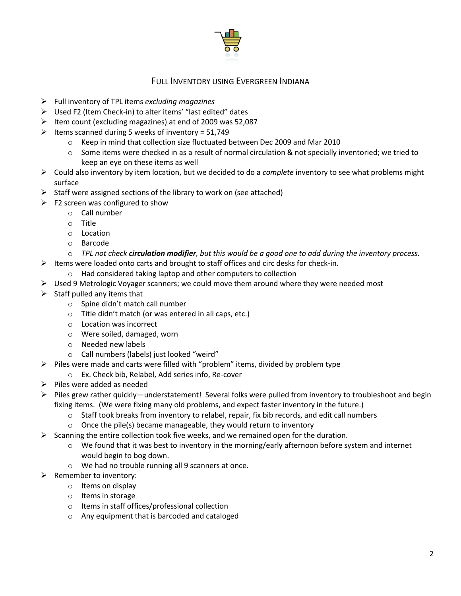

# FULL INVENTORY USING EVERGREEN INDIANA

- Full inventory of TPL items *excluding magazines*
- Used F2 (Item Check-in) to alter items' "last edited" dates
- $\triangleright$  Item count (excluding magazines) at end of 2009 was 52,087
- $\triangleright$  Items scanned during 5 weeks of inventory = 51,749
	- o Keep in mind that collection size fluctuated between Dec 2009 and Mar 2010
	- $\circ$  Some items were checked in as a result of normal circulation & not specially inventoried; we tried to keep an eye on these items as well
- Could also inventory by item location, but we decided to do a *complete* inventory to see what problems might surface
- $\triangleright$  Staff were assigned sections of the library to work on (see attached)
- $\triangleright$  F2 screen was configured to show
	- o Call number
	- o Title
	- o Location
	- o Barcode
	- o *TPL not check circulation modifier, but this would be a good one to add during the inventory process.*
- $\triangleright$  Items were loaded onto carts and brought to staff offices and circ desks for check-in.
	- o Had considered taking laptop and other computers to collection
- $\triangleright$  Used 9 Metrologic Voyager scanners; we could move them around where they were needed most
- $\triangleright$  Staff pulled any items that
	- o Spine didn't match call number
	- o Title didn't match (or was entered in all caps, etc.)
	- o Location was incorrect
	- o Were soiled, damaged, worn
	- o Needed new labels
	- o Call numbers (labels) just looked "weird"
- $\triangleright$  Piles were made and carts were filled with "problem" items, divided by problem type
	- o Ex. Check bib, Relabel, Add series info, Re-cover
- $\triangleright$  Piles were added as needed
- $\triangleright$  Piles grew rather quickly—understatement! Several folks were pulled from inventory to troubleshoot and begin fixing items. (We were fixing many old problems, and expect faster inventory in the future.)
	- $\circ$  Staff took breaks from inventory to relabel, repair, fix bib records, and edit call numbers
	- $\circ$  Once the pile(s) became manageable, they would return to inventory
- $\triangleright$  Scanning the entire collection took five weeks, and we remained open for the duration.
	- $\circ$  We found that it was best to inventory in the morning/early afternoon before system and internet would begin to bog down.
	- o We had no trouble running all 9 scanners at once.
- $\triangleright$  Remember to inventory:
	- o Items on display
	- o Items in storage
	- o Items in staff offices/professional collection
	- o Any equipment that is barcoded and cataloged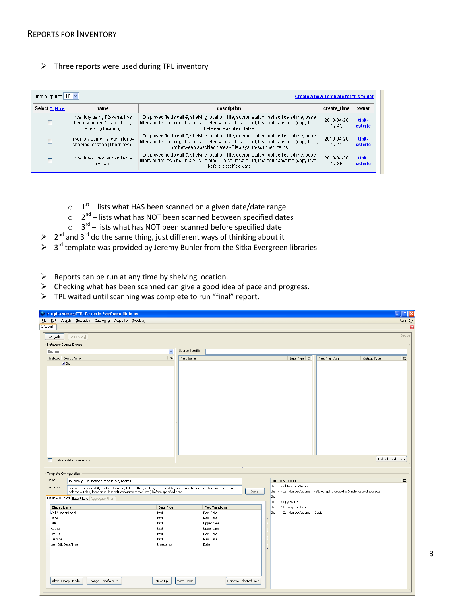#### $\triangleright$  Three reports were used during TPL inventory

| Limit output to $10 \times$<br><b>Create a new Template for this folder</b> |                                                                                    |                                                                                                                                                                                                                                                           |                     |                   |  |  |  |
|-----------------------------------------------------------------------------|------------------------------------------------------------------------------------|-----------------------------------------------------------------------------------------------------------------------------------------------------------------------------------------------------------------------------------------------------------|---------------------|-------------------|--|--|--|
| Select All None                                                             | name                                                                               | description                                                                                                                                                                                                                                               | create_time         | owner             |  |  |  |
|                                                                             | Inventory using F2--what has<br>been scanned? (can filter by<br>shelving location) | Displayed fields call #, shelving location, title, author, status, last edit date/time; base<br>filters added owning library, is deleted = false, location id, last edit date/time (copy-level)<br>between specified dates                                | 2010-04-28<br>17:43 | ttpit-<br>csterle |  |  |  |
|                                                                             | Inventory using F2; can filter by<br>shelving location (Thorntown)                 | Displayed fields call #, shelving location, title, author, status, last edit date/time; base<br>filters added owning library, is deleted = false, location id, last edit date/time (copy-level)<br>not between specified dates--Displays un-scanned items | 2010-04-28<br>17:41 | ttpit-<br>csterle |  |  |  |
|                                                                             | Inventory - un-scanned items<br>(Sitka)                                            | Displayed fields call #, shelving location, title, author, status, last edit date/time; base<br>filters added owning library, is deleted = false, location id, last edit date/time (copy-level)<br>before specified date                                  | 2010-04-28<br>17:39 | ttpit-<br>csterle |  |  |  |

- $\circ$   $1^{st}$  lists what HAS been scanned on a given date/date range
- $\circ$  2<sup>nd</sup> lists what has NOT been scanned between specified dates
- $\circ$  3<sup>rd</sup> lists what has NOT been scanned before specified date
- $\triangleright$  2<sup>nd</sup> and 3<sup>rd</sup> do the same thing, just different ways of thinking about it
- $\triangleright$  3<sup>rd</sup> template was provided by Jeremy Buhler from the Sitka Evergreen libraries
- $\triangleright$  Reports can be run at any time by shelving location.
- $\triangleright$  Checking what has been scanned can give a good idea of pace and progress.
- $\triangleright$  TPL waited until scanning was complete to run "final" report.

| 1: ttplt-csterle@TTPLT-csterle. EverGreen. lib. in. us                                                                                                                                                                                |                                    |                                                                        | $\Box$<br>٠                                                                  |
|---------------------------------------------------------------------------------------------------------------------------------------------------------------------------------------------------------------------------------------|------------------------------------|------------------------------------------------------------------------|------------------------------------------------------------------------------|
| File Edit Search Circulation Cataloging Acquisitions (Preview)                                                                                                                                                                        |                                    |                                                                        | Admin $($ - $)$                                                              |
| $1$ Reports                                                                                                                                                                                                                           |                                    |                                                                        | ×                                                                            |
| Go Back<br>Go Forward                                                                                                                                                                                                                 |                                    |                                                                        | Debug                                                                        |
| Database Source Browser                                                                                                                                                                                                               |                                    |                                                                        |                                                                              |
|                                                                                                                                                                                                                                       | Source Specifier:                  |                                                                        |                                                                              |
| Sources                                                                                                                                                                                                                               | $\checkmark$                       |                                                                        |                                                                              |
| Nullable Source Name<br>$E$ Item                                                                                                                                                                                                      | 畏<br>Field Name                    | Data Type 民                                                            | 閃<br>Field Transform<br>Output Type                                          |
|                                                                                                                                                                                                                                       |                                    |                                                                        |                                                                              |
|                                                                                                                                                                                                                                       |                                    |                                                                        |                                                                              |
|                                                                                                                                                                                                                                       |                                    |                                                                        |                                                                              |
|                                                                                                                                                                                                                                       |                                    |                                                                        |                                                                              |
|                                                                                                                                                                                                                                       |                                    |                                                                        |                                                                              |
|                                                                                                                                                                                                                                       |                                    |                                                                        |                                                                              |
|                                                                                                                                                                                                                                       |                                    |                                                                        |                                                                              |
|                                                                                                                                                                                                                                       |                                    |                                                                        |                                                                              |
|                                                                                                                                                                                                                                       |                                    |                                                                        |                                                                              |
|                                                                                                                                                                                                                                       |                                    |                                                                        |                                                                              |
|                                                                                                                                                                                                                                       |                                    |                                                                        |                                                                              |
|                                                                                                                                                                                                                                       |                                    |                                                                        |                                                                              |
|                                                                                                                                                                                                                                       |                                    |                                                                        |                                                                              |
|                                                                                                                                                                                                                                       |                                    |                                                                        | Add Selected Fields                                                          |
| Enable nullability selection                                                                                                                                                                                                          |                                    |                                                                        |                                                                              |
|                                                                                                                                                                                                                                       |                                    |                                                                        |                                                                              |
| Template Configuration                                                                                                                                                                                                                |                                    |                                                                        |                                                                              |
| Name:<br>Inventory - un-scanned items (Sitka) (clone)                                                                                                                                                                                 |                                    | Source Specifier:<br>Item :: Call Number/Volume                        | 园                                                                            |
| Description:<br>Displayed fields call #, shelving location, title, author, status, last edit date/time; base filters added owning library, is<br>deleted = false, location id, last edit date/time (copy-level) before specified date |                                    | Save                                                                   | Item -> Call Number/Volume -> Bibliographic Record :: Simple Record Extracts |
| Displayed Fields   Base Filters   Aggregate Filters                                                                                                                                                                                   |                                    | Item                                                                   |                                                                              |
|                                                                                                                                                                                                                                       |                                    | Item :: Copy Status                                                    |                                                                              |
| Display Name<br>Data Type<br>Call Number Label<br>text                                                                                                                                                                                | Field Transform<br>Raw Data        | 閃<br>Item :: Shelving Location<br>Item -> Call Number/Volume :: Copies |                                                                              |
| Name<br>text                                                                                                                                                                                                                          | Raw Data                           |                                                                        |                                                                              |
| Title<br>text                                                                                                                                                                                                                         | Upper case                         |                                                                        |                                                                              |
| Author<br>text                                                                                                                                                                                                                        | Upper case                         |                                                                        |                                                                              |
| Status<br>text<br>Barcode<br>text                                                                                                                                                                                                     | Raw Data<br>Raw Data               |                                                                        |                                                                              |
| Last Edit Date/Time<br>timestamp                                                                                                                                                                                                      | Date                               |                                                                        |                                                                              |
|                                                                                                                                                                                                                                       |                                    |                                                                        |                                                                              |
|                                                                                                                                                                                                                                       |                                    |                                                                        |                                                                              |
|                                                                                                                                                                                                                                       |                                    |                                                                        |                                                                              |
|                                                                                                                                                                                                                                       |                                    |                                                                        |                                                                              |
|                                                                                                                                                                                                                                       |                                    |                                                                        |                                                                              |
| Alter Display Header<br>Change Transform *<br>Move Up                                                                                                                                                                                 | Move Down<br>Remove Selected Field |                                                                        |                                                                              |
|                                                                                                                                                                                                                                       |                                    |                                                                        |                                                                              |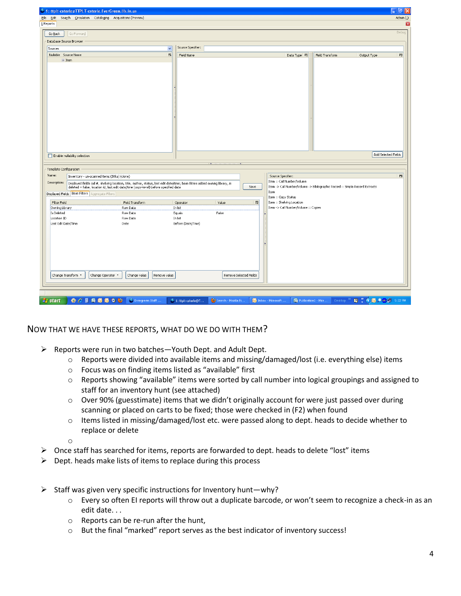| 1: ttplt-csterle@TTPLT-csterle.EverGreen.lib.in.us                                                                                               |                                                                                                                                                                                                                       |                    |                        |      |                                                                              |                 | $\mathbb{F} \mathbb{R}$     |  |  |
|--------------------------------------------------------------------------------------------------------------------------------------------------|-----------------------------------------------------------------------------------------------------------------------------------------------------------------------------------------------------------------------|--------------------|------------------------|------|------------------------------------------------------------------------------|-----------------|-----------------------------|--|--|
| Admin (-)<br>File Edit<br>Search Circulation Cataloging Acquisitions (Preview)                                                                   |                                                                                                                                                                                                                       |                    |                        |      |                                                                              |                 |                             |  |  |
| 1 Reports                                                                                                                                        |                                                                                                                                                                                                                       |                    |                        |      |                                                                              |                 | ×                           |  |  |
| Go Back<br>Go Forward                                                                                                                            |                                                                                                                                                                                                                       |                    |                        |      |                                                                              |                 | Debug                       |  |  |
| Database Source Browser                                                                                                                          |                                                                                                                                                                                                                       |                    |                        |      |                                                                              |                 |                             |  |  |
| Sources                                                                                                                                          | $\overline{\mathbf{v}}$                                                                                                                                                                                               | Source Specifier:  |                        |      |                                                                              |                 |                             |  |  |
| Nullable Source Name                                                                                                                             | 园                                                                                                                                                                                                                     | Field Name         |                        |      | Data Type 民                                                                  | Field Transform | 畏<br>Output Type            |  |  |
| $E$ Item                                                                                                                                         |                                                                                                                                                                                                                       |                    |                        |      |                                                                              |                 |                             |  |  |
| Enable nullability selection                                                                                                                     |                                                                                                                                                                                                                       |                    |                        |      |                                                                              |                 | Add Selected Fields         |  |  |
| Template Configuration<br>Name:                                                                                                                  |                                                                                                                                                                                                                       |                    |                        |      | Source Specifier:                                                            |                 | 巴                           |  |  |
| Inventory - un-scanned items (Sitka) (clone)<br>Description:                                                                                     |                                                                                                                                                                                                                       |                    |                        |      | Item :: Call Number/Volume                                                   |                 |                             |  |  |
|                                                                                                                                                  | Displayed fields call #, shelving location, title, author, status, last edit date/time; base filters added owning library, is<br>deleted = false, location id, last edit date/time (copy-level) before specified date |                    |                        | Save | Item -> Call Number/Volume -> Bibliographic Record :: Simple Record Extracts |                 |                             |  |  |
| Displayed Fields   Base Filters   Aggregate Filters                                                                                              |                                                                                                                                                                                                                       |                    |                        |      | Item<br>Item :: Copy Status                                                  |                 |                             |  |  |
| Filter Field                                                                                                                                     | Field Transform                                                                                                                                                                                                       | Operator           | Value                  | 閃    | Item :: Shelving Location                                                    |                 |                             |  |  |
| Owning Library                                                                                                                                   | Raw Data                                                                                                                                                                                                              | In list            |                        |      | Item -> Call Number/Volume :: Copies                                         |                 |                             |  |  |
| Is Deleted<br>Location ID                                                                                                                        | Raw Data<br>Raw Data                                                                                                                                                                                                  | Equals<br>In list  | False                  |      |                                                                              |                 |                             |  |  |
| Last Edit Date/Time<br>Change Operator *<br>Change Transform *                                                                                   | Date<br>Change value<br>Remove value                                                                                                                                                                                  | Before (Date/Time) | Remove Selected Fields |      |                                                                              |                 |                             |  |  |
| $\begin{array}{c} \bullet & C \end{array} \begin{array}{c} \bullet & \bullet & \bullet & \bullet & \bullet \end{array}$<br><b><i>i</i></b> start | Evergreen Staff                                                                                                                                                                                                       | 1: ttplt-csterle@T | Search - Mozilla Fi.   |      | Microsoft<br>间 Publication1 - Micr                                           | Desktop         | <b>2</b> ( c) O O U 5:22 PM |  |  |

## NOW THAT WE HAVE THESE REPORTS, WHAT DO WE DO WITH THEM?

- $\triangleright$  Reports were run in two batches—Youth Dept. and Adult Dept.
	- o Reports were divided into available items and missing/damaged/lost (i.e. everything else) items
	- o Focus was on finding items listed as "available" first
	- o Reports showing "available" items were sorted by call number into logical groupings and assigned to staff for an inventory hunt (see attached)
	- o Over 90% (guesstimate) items that we didn't originally account for were just passed over during scanning or placed on carts to be fixed; those were checked in (F2) when found
	- $\circ$  Items listed in missing/damaged/lost etc. were passed along to dept. heads to decide whether to replace or delete

o

- $\triangleright$  Once staff has searched for items, reports are forwarded to dept. heads to delete "lost" items
- $\triangleright$  Dept. heads make lists of items to replace during this process
- $\triangleright$  Staff was given very specific instructions for Inventory hunt—why?
	- o Every so often EI reports will throw out a duplicate barcode, or won't seem to recognize a check-in as an edit date. . .
	- o Reports can be re-run after the hunt,
	- o But the final "marked" report serves as the best indicator of inventory success!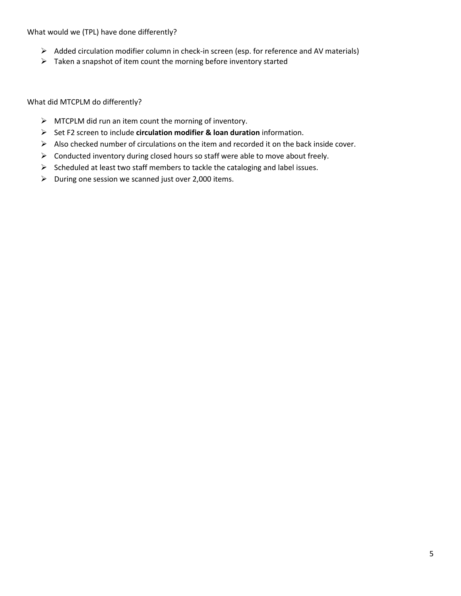What would we (TPL) have done differently?

- Added circulation modifier column in check-in screen (esp. for reference and AV materials)
- $\triangleright$  Taken a snapshot of item count the morning before inventory started

What did MTCPLM do differently?

- $\triangleright$  MTCPLM did run an item count the morning of inventory.
- Set F2 screen to include **circulation modifier & loan duration** information.
- $\triangleright$  Also checked number of circulations on the item and recorded it on the back inside cover.
- $\triangleright$  Conducted inventory during closed hours so staff were able to move about freely.
- $\triangleright$  Scheduled at least two staff members to tackle the cataloging and label issues.
- $\triangleright$  During one session we scanned just over 2,000 items.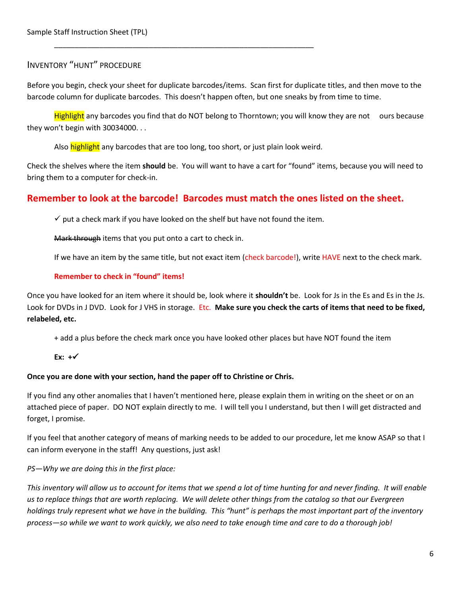## INVENTORY "HUNT" PROCEDURE

Before you begin, check your sheet for duplicate barcodes/items. Scan first for duplicate titles, and then move to the barcode column for duplicate barcodes. This doesn't happen often, but one sneaks by from time to time.

Highlight any barcodes you find that do NOT belong to Thorntown; you will know they are not ours because they won't begin with 30034000. . .

Also highlight any barcodes that are too long, too short, or just plain look weird.

\_\_\_\_\_\_\_\_\_\_\_\_\_\_\_\_\_\_\_\_\_\_\_\_\_\_\_\_\_\_\_\_\_\_\_\_\_\_\_\_\_\_\_\_\_\_\_\_\_\_\_\_\_\_\_\_\_\_\_\_\_\_\_

Check the shelves where the item **should** be. You will want to have a cart for "found" items, because you will need to bring them to a computer for check-in.

# **Remember to look at the barcode! Barcodes must match the ones listed on the sheet.**

 $\checkmark$  put a check mark if you have looked on the shelf but have not found the item.

Mark through items that you put onto a cart to check in.

If we have an item by the same title, but not exact item (check barcode!), write HAVE next to the check mark.

### **Remember to check in "found" items!**

Once you have looked for an item where it should be, look where it **shouldn't** be. Look for Js in the Es and Es in the Js. Look for DVDs in J DVD. Look for J VHS in storage. Etc. **Make sure you check the carts of items that need to be fixed, relabeled, etc.**

+ add a plus before the check mark once you have looked other places but have NOT found the item

**Ex: +**

#### **Once you are done with your section, hand the paper off to Christine or Chris.**

If you find any other anomalies that I haven't mentioned here, please explain them in writing on the sheet or on an attached piece of paper. DO NOT explain directly to me. I will tell you I understand, but then I will get distracted and forget, I promise.

If you feel that another category of means of marking needs to be added to our procedure, let me know ASAP so that I can inform everyone in the staff! Any questions, just ask!

*PS—Why we are doing this in the first place:*

*This inventory will allow us to account for items that we spend a lot of time hunting for and never finding. It will enable us to replace things that are worth replacing. We will delete other things from the catalog so that our Evergreen holdings truly represent what we have in the building. This "hunt" is perhaps the most important part of the inventory process—so while we want to work quickly, we also need to take enough time and care to do a thorough job!*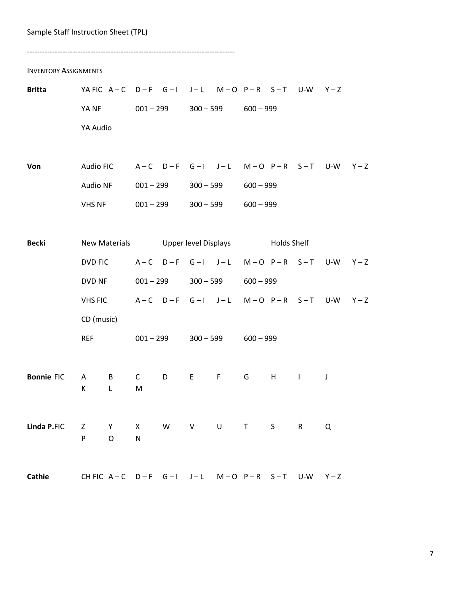#### Sample Staff Instruction Sheet (TPL)

---------------------------------------------------------------------------------- INVENTORY ASSIGNMENTS **Britta** YA FIC A – C D – F G – I J – L M – O P – R S – T U-W Y – Z YA NF 001 – 299 300 – 599 600 – 999 YA Audio Von Audio FIC A – C D – F G – I J – L M – O P – R S – T U-W Y – Z Audio NF 001 – 299 300 – 599 600 – 999 VHS NF 001 – 299 300 – 599 600 – 999 **Becki** New Materials Upper level Displays Holds Shelf DVD FIC  $A-C$   $D-F$   $G-I$   $J-L$   $M-O$   $P-R$   $S-T$   $U-W$   $Y-Z$ DVD NF 001 – 299 300 – 599 600 – 999 VHS FIC  $A-C$   $D-F$   $G-I$   $J-L$   $M-O$   $P-R$   $S-T$   $U-W$   $Y-Z$ CD (music) REF 001 – 299 300 – 599 600 – 999 **Bonnie** FIC A B C D E F G H I J K L M **Linda P.**FIC Z Y X W V U T S R Q P O N Cathie CH FIC A – C D – F G – I J – L M – O P – R S – T U-W Y – Z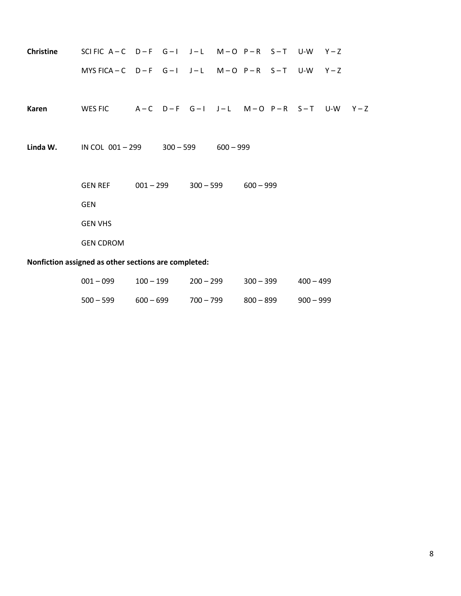|                                                      |  |  |             |  |             |             |             |             |  | SCIFIC A-C D-F G-I J-L M-O P-R S-T U-W Y-Z                    | <b>Christine</b> |
|------------------------------------------------------|--|--|-------------|--|-------------|-------------|-------------|-------------|--|---------------------------------------------------------------|------------------|
|                                                      |  |  |             |  |             |             |             |             |  | MYSFICA-C $D-F$ G-I J-L M-O P-R S-T U-W Y-Z                   |                  |
|                                                      |  |  |             |  |             |             |             |             |  |                                                               |                  |
|                                                      |  |  |             |  |             |             |             |             |  | WES FIC $A-C$ $D-F$ $G-I$ $J-L$ $M-O$ $P-R$ $S-T$ $U-W$ $Y-Z$ | Karen            |
|                                                      |  |  |             |  |             |             |             |             |  |                                                               |                  |
|                                                      |  |  |             |  |             | $600 - 999$ | $300 - 599$ |             |  | IN COL 001-299                                                | Linda W.         |
|                                                      |  |  |             |  |             |             |             |             |  |                                                               |                  |
|                                                      |  |  |             |  | $600 - 999$ | $300 - 599$ |             | $001 - 299$ |  | <b>GEN REF</b>                                                |                  |
|                                                      |  |  |             |  |             |             |             |             |  | <b>GEN</b>                                                    |                  |
|                                                      |  |  |             |  |             |             |             |             |  | <b>GEN VHS</b>                                                |                  |
|                                                      |  |  |             |  |             |             |             |             |  | <b>GEN CDROM</b>                                              |                  |
| Nonfiction assigned as other sections are completed: |  |  |             |  |             |             |             |             |  |                                                               |                  |
|                                                      |  |  |             |  |             |             |             |             |  |                                                               |                  |
|                                                      |  |  | $100 - 100$ |  | 200 – 200   |             | $200 - 200$ | 100 = 100   |  | $\Omega$ $\Omega$ 1 $\Omega$ $\Omega$                         |                  |

| 001 – 099 | $100 - 199$ | $200 - 299$ | $300 - 399$ | $400 - 499$ |
|-----------|-------------|-------------|-------------|-------------|
| 500 – 599 | $600 - 699$ | 700 – 799   | $800 - 899$ | $900 - 999$ |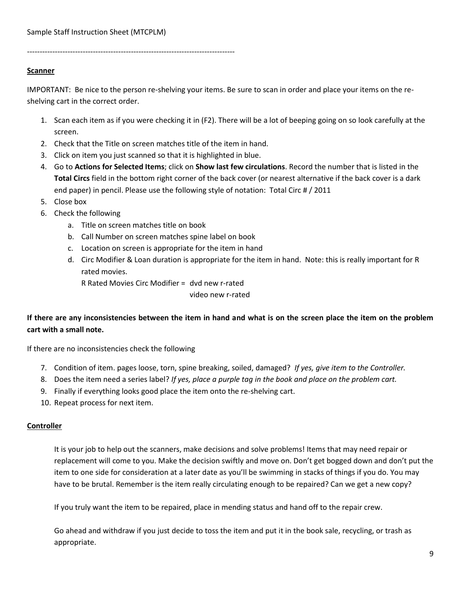----------------------------------------------------------------------------------

### **Scanner**

IMPORTANT: Be nice to the person re-shelving your items. Be sure to scan in order and place your items on the reshelving cart in the correct order.

- 1. Scan each item as if you were checking it in (F2). There will be a lot of beeping going on so look carefully at the screen.
- 2. Check that the Title on screen matches title of the item in hand.
- 3. Click on item you just scanned so that it is highlighted in blue.
- 4. Go to **Actions for Selected Items**; click on **Show last few circulations**. Record the number that is listed in the **Total Circs** field in the bottom right corner of the back cover (or nearest alternative if the back cover is a dark end paper) in pencil. Please use the following style of notation: Total Circ # / 2011
- 5. Close box
- 6. Check the following
	- a. Title on screen matches title on book
	- b. Call Number on screen matches spine label on book
	- c. Location on screen is appropriate for the item in hand
	- d. Circ Modifier & Loan duration is appropriate for the item in hand. Note: this is really important for R rated movies.

R Rated Movies Circ Modifier = dvd new r-rated

video new r-rated

# **If there are any inconsistencies between the item in hand and what is on the screen place the item on the problem cart with a small note.**

If there are no inconsistencies check the following

- 7. Condition of item. pages loose, torn, spine breaking, soiled, damaged? *If yes, give item to the Controller.*
- 8. Does the item need a series label? *If yes, place a purple tag in the book and place on the problem cart.*
- 9. Finally if everything looks good place the item onto the re-shelving cart.
- 10. Repeat process for next item.

#### **Controller**

It is your job to help out the scanners, make decisions and solve problems! Items that may need repair or replacement will come to you. Make the decision swiftly and move on. Don't get bogged down and don't put the item to one side for consideration at a later date as you'll be swimming in stacks of things if you do. You may have to be brutal. Remember is the item really circulating enough to be repaired? Can we get a new copy?

If you truly want the item to be repaired, place in mending status and hand off to the repair crew.

Go ahead and withdraw if you just decide to toss the item and put it in the book sale, recycling, or trash as appropriate.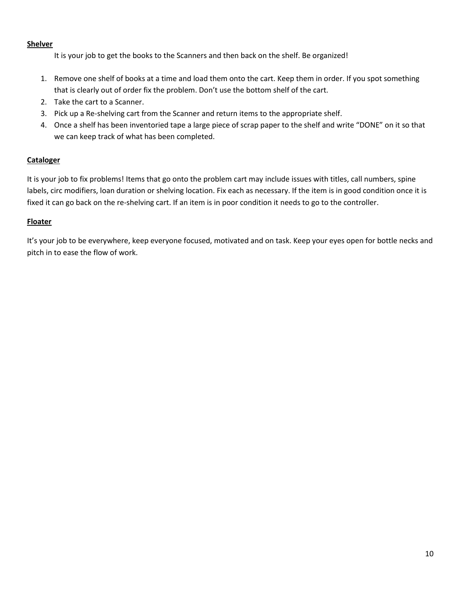### **Shelver**

It is your job to get the books to the Scanners and then back on the shelf. Be organized!

- 1. Remove one shelf of books at a time and load them onto the cart. Keep them in order. If you spot something that is clearly out of order fix the problem. Don't use the bottom shelf of the cart.
- 2. Take the cart to a Scanner.
- 3. Pick up a Re-shelving cart from the Scanner and return items to the appropriate shelf.
- 4. Once a shelf has been inventoried tape a large piece of scrap paper to the shelf and write "DONE" on it so that we can keep track of what has been completed.

## **Cataloger**

It is your job to fix problems! Items that go onto the problem cart may include issues with titles, call numbers, spine labels, circ modifiers, loan duration or shelving location. Fix each as necessary. If the item is in good condition once it is fixed it can go back on the re-shelving cart. If an item is in poor condition it needs to go to the controller.

## **Floater**

It's your job to be everywhere, keep everyone focused, motivated and on task. Keep your eyes open for bottle necks and pitch in to ease the flow of work.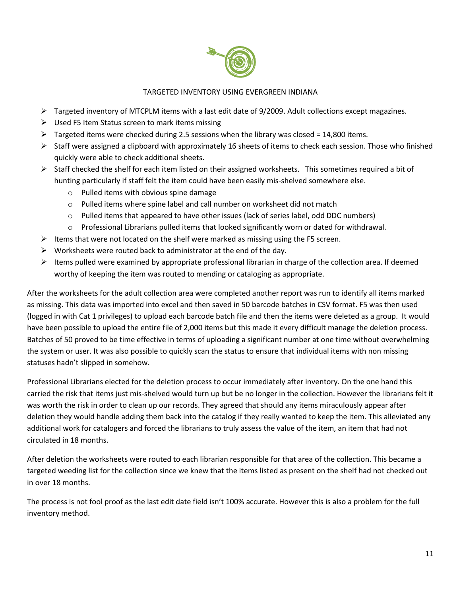

## TARGETED INVENTORY USING EVERGREEN INDIANA

- $\triangleright$  Targeted inventory of MTCPLM items with a last edit date of 9/2009. Adult collections except magazines.
- $\triangleright$  Used F5 Item Status screen to mark items missing
- $\triangleright$  Targeted items were checked during 2.5 sessions when the library was closed = 14,800 items.
- $\triangleright$  Staff were assigned a clipboard with approximately 16 sheets of items to check each session. Those who finished quickly were able to check additional sheets.
- $\triangleright$  Staff checked the shelf for each item listed on their assigned worksheets. This sometimes required a bit of hunting particularly if staff felt the item could have been easily mis-shelved somewhere else.
	- o Pulled items with obvious spine damage
	- $\circ$  Pulled items where spine label and call number on worksheet did not match
	- $\circ$  Pulled items that appeared to have other issues (lack of series label, odd DDC numbers)
	- o Professional Librarians pulled items that looked significantly worn or dated for withdrawal.
- $\triangleright$  Items that were not located on the shelf were marked as missing using the F5 screen.
- $\triangleright$  Worksheets were routed back to administrator at the end of the day.
- $\triangleright$  Items pulled were examined by appropriate professional librarian in charge of the collection area. If deemed worthy of keeping the item was routed to mending or cataloging as appropriate.

After the worksheets for the adult collection area were completed another report was run to identify all items marked as missing. This data was imported into excel and then saved in 50 barcode batches in CSV format. F5 was then used (logged in with Cat 1 privileges) to upload each barcode batch file and then the items were deleted as a group. It would have been possible to upload the entire file of 2,000 items but this made it every difficult manage the deletion process. Batches of 50 proved to be time effective in terms of uploading a significant number at one time without overwhelming the system or user. It was also possible to quickly scan the status to ensure that individual items with non missing statuses hadn't slipped in somehow.

Professional Librarians elected for the deletion process to occur immediately after inventory. On the one hand this carried the risk that items just mis-shelved would turn up but be no longer in the collection. However the librarians felt it was worth the risk in order to clean up our records. They agreed that should any items miraculously appear after deletion they would handle adding them back into the catalog if they really wanted to keep the item. This alleviated any additional work for catalogers and forced the librarians to truly assess the value of the item, an item that had not circulated in 18 months.

After deletion the worksheets were routed to each librarian responsible for that area of the collection. This became a targeted weeding list for the collection since we knew that the items listed as present on the shelf had not checked out in over 18 months.

The process is not fool proof as the last edit date field isn't 100% accurate. However this is also a problem for the full inventory method.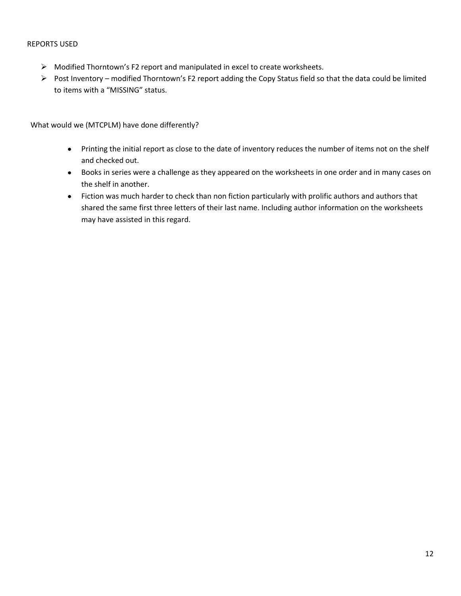#### REPORTS USED

- $\triangleright$  Modified Thorntown's F2 report and manipulated in excel to create worksheets.
- Post Inventory modified Thorntown's F2 report adding the Copy Status field so that the data could be limited to items with a "MISSING" status.

What would we (MTCPLM) have done differently?

- Printing the initial report as close to the date of inventory reduces the number of items not on the shelf and checked out.
- Books in series were a challenge as they appeared on the worksheets in one order and in many cases on the shelf in another.
- Fiction was much harder to check than non fiction particularly with prolific authors and authors that shared the same first three letters of their last name. Including author information on the worksheets may have assisted in this regard.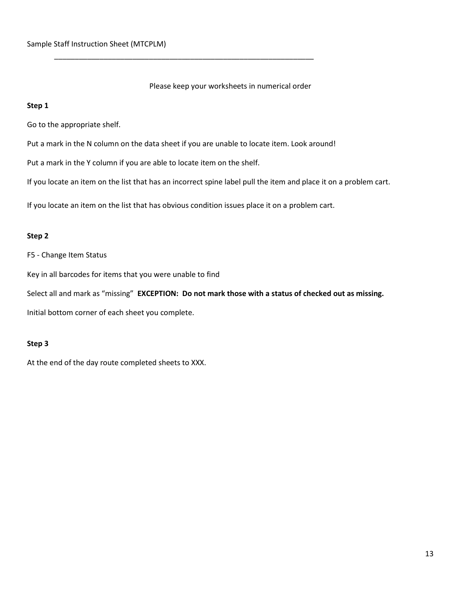Please keep your worksheets in numerical order

### **Step 1**

Go to the appropriate shelf.

Put a mark in the N column on the data sheet if you are unable to locate item. Look around!

\_\_\_\_\_\_\_\_\_\_\_\_\_\_\_\_\_\_\_\_\_\_\_\_\_\_\_\_\_\_\_\_\_\_\_\_\_\_\_\_\_\_\_\_\_\_\_\_\_\_\_\_\_\_\_\_\_\_\_\_\_\_\_

Put a mark in the Y column if you are able to locate item on the shelf.

If you locate an item on the list that has an incorrect spine label pull the item and place it on a problem cart.

If you locate an item on the list that has obvious condition issues place it on a problem cart.

### **Step 2**

F5 - Change Item Status

Key in all barcodes for items that you were unable to find

Select all and mark as "missing" **EXCEPTION: Do not mark those with a status of checked out as missing.**

Initial bottom corner of each sheet you complete.

### **Step 3**

At the end of the day route completed sheets to XXX.